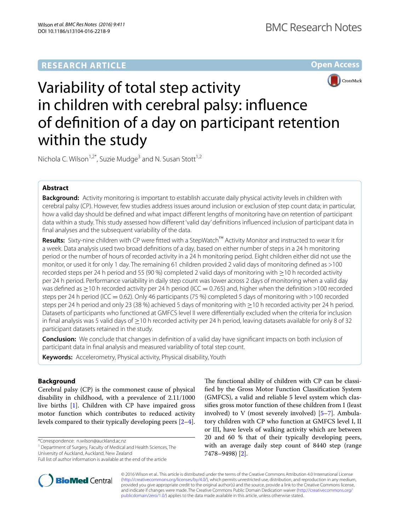



# Variability of total step activity in children with cerebral palsy: influence of definition of a day on participant retention within the study

Nichola C. Wilson<sup>1,2\*</sup>, Suzie Mudge<sup>3</sup> and N. Susan Stott<sup>1,2</sup>

# **Abstract**

**Background:** Activity monitoring is important to establish accurate daily physical activity levels in children with cerebral palsy (CP). However, few studies address issues around inclusion or exclusion of step count data; in particular, how a valid day should be defined and what impact different lengths of monitoring have on retention of participant data within a study. This study assessed how different 'valid day' definitions influenced inclusion of participant data in final analyses and the subsequent variability of the data.

**Results:** Sixty-nine children with CP were fitted with a StepWatch™ Activity Monitor and instructed to wear it for a week. Data analysis used two broad definitions of a day, based on either number of steps in a 24 h monitoring period or the number of hours of recorded activity in a 24 h monitoring period. Eight children either did not use the monitor, or used it for only 1 day. The remaining 61 children provided 2 valid days of monitoring defined as >100 recorded steps per 24 h period and 55 (90 %) completed 2 valid days of monitoring with ≥10 h recorded activity per 24 h period. Performance variability in daily step count was lower across 2 days of monitoring when a valid day was defined as  $\geq$ 10 h recorded activity per 24 h period (ICC = 0.765) and, higher when the definition >100 recorded steps per 24 h period (ICC = 0.62). Only 46 participants (75 %) completed 5 days of monitoring with >100 recorded steps per 24 h period and only 23 (38 %) achieved 5 days of monitoring with ≥10 h recorded activity per 24 h period. Datasets of participants who functioned at GMFCS level II were differentially excluded when the criteria for inclusion in final analysis was 5 valid days of ≥10 h recorded activity per 24 h period, leaving datasets available for only 8 of 32 participant datasets retained in the study.

**Conclusion:** We conclude that changes in definition of a valid day have significant impacts on both inclusion of participant data in final analysis and measured variability of total step count.

**Keywords:** Accelerometry, Physical activity, Physical disability, Youth

# **Background**

Cerebral palsy (CP) is the commonest cause of physical disability in childhood, with a prevalence of 2.11/1000 live births [[1\]](#page-7-0). Children with CP have impaired gross motor function which contributes to reduced activity levels compared to their typically developing peers [\[2](#page-7-1)[–4](#page-7-2)].

\*Correspondence: n.wilson@auckland.ac.nz

**BioMed Central** 

<sup>1</sup> Department of Surgery, Faculty of Medical and Health Sciences, The University of Auckland, Auckland, New Zealand



© 2016 Wilson et al.. This article is distributed under the terms of the Creative Commons Attribution 4.0 International License [\(http://creativecommons.org/licenses/by/4.0/\)](http://creativecommons.org/licenses/by/4.0/), which permits unrestricted use, distribution, and reproduction in any medium, provided you give appropriate credit to the original author(s) and the source, provide a link to the Creative Commons license, and indicate if changes were made. The Creative Commons Public Domain Dedication waiver ([http://creativecommons.org/](http://creativecommons.org/publicdomain/zero/1.0/) [publicdomain/zero/1.0/](http://creativecommons.org/publicdomain/zero/1.0/)) applies to the data made available in this article, unless otherwise stated.

Full list of author information is available at the end of the article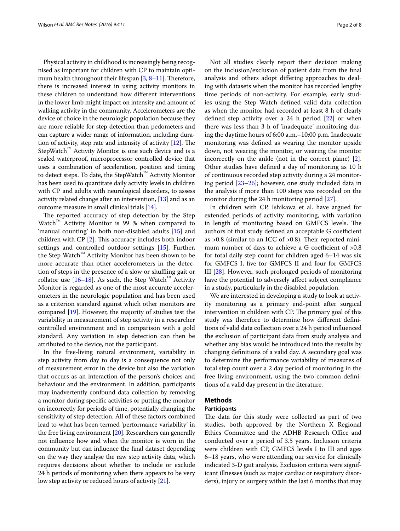Physical activity in childhood is increasingly being recognised as important for children with CP to maintain opti-mum health throughout their lifespan [[3](#page-7-5), [8](#page-7-6)[–11\]](#page-7-7). Therefore, there is increased interest in using activity monitors in these children to understand how different interventions in the lower limb might impact on intensity and amount of walking activity in the community. Accelerometers are the device of choice in the neurologic population because they are more reliable for step detection than pedometers and can capture a wider range of information, including duration of activity, step rate and intensity of activity [[12](#page-7-8)]. The StepWatch™ Activity Monitor is one such device and is a sealed waterproof, microprocessor controlled device that uses a combination of acceleration, position and timing to detect steps. To date, the StepWatch™ Activity Monitor has been used to quantitate daily activity levels in children with CP and adults with neurological disorders, to assess activity related change after an intervention, [\[13\]](#page-7-9) and as an outcome measure in small clinical trials [[14](#page-7-10)].

The reported accuracy of step detection by the Step Watch™ Activity Monitor is 99 % when compared to 'manual counting' in both non-disabled adults [[15](#page-7-11)] and children with CP [[2\]](#page-7-1). This accuracy includes both indoor settings and controlled outdoor settings [[15\]](#page-7-11). Further, the Step Watch™ Activity Monitor has been shown to be more accurate than other accelerometers in the detection of steps in the presence of a slow or shuffling gait or rollator use  $[16–18]$  $[16–18]$  $[16–18]$  $[16–18]$ . As such, the Step Watch<sup>™</sup> Activity Monitor is regarded as one of the most accurate accelerometers in the neurologic population and has been used as a criterion standard against which other monitors are compared [[19\]](#page-7-14). However, the majority of studies test the variability in measurement of step activity in a researcher controlled environment and in comparison with a gold standard. Any variation in step detection can then be attributed to the device, not the participant.

In the free-living natural environment, variability in step activity from day to day is a consequence not only of measurement error in the device but also the variation that occurs as an interaction of the person's choices and behaviour and the environment. In addition, participants may inadvertently confound data collection by removing a monitor during specific activities or putting the monitor on incorrectly for periods of time, potentially changing the sensitivity of step detection. All of these factors combined lead to what has been termed 'performance variability' in the free living environment [[20](#page-7-15)]. Researchers can generally not influence how and when the monitor is worn in the community but can influence the final dataset depending on the way they analyse the raw step activity data, which requires decisions about whether to include or exclude 24 h periods of monitoring when there appears to be very low step activity or reduced hours of activity [\[21\]](#page-7-16).

Not all studies clearly report their decision making on the inclusion/exclusion of patient data from the final analysis and others adopt differing approaches to dealing with datasets when the monitor has recorded lengthy time periods of non-activity. For example, early studies using the Step Watch defined valid data collection as when the monitor had recorded at least 8 h of clearly defined step activity over a 24  $h$  period  $[22]$  $[22]$  or when there was less than 3 h of 'inadequate' monitoring during the daytime hours of 6:00 a.m.–10:00 p.m. Inadequate monitoring was defined as wearing the monitor upside down, not wearing the monitor, or wearing the monitor incorrectly on the ankle (not in the correct plane) [\[2](#page-7-1)]. Other studies have defined a day of monitoring as 10 h of continuous recorded step activity during a 24 monitoring period [[23–](#page-7-18)[26\]](#page-7-19); however, one study included data in the analysis if more than 100 steps was recorded on the monitor during the 24 h monitoring period [\[27](#page-7-20)].

In children with CP, Ishikawa et al. have argued for extended periods of activity monitoring, with variation in length of monitoring based on GMFCS levels. The authors of that study defined an acceptable G coefficient as >0.8 (similar to an ICC of >0.8). Their reported minimum number of days to achieve a G coefficient of  $>0.8$ for total daily step count for children aged 6–14 was six for GMFCS I, five for GMFCS II and four for GMFCS III [[28\]](#page-7-21). However, such prolonged periods of monitoring have the potential to adversely affect subject compliance in a study, particularly in the disabled population.

We are interested in developing a study to look at activity monitoring as a primary end-point after surgical intervention in children with CP. The primary goal of this study was therefore to determine how different definitions of valid data collection over a 24 h period influenced the exclusion of participant data from study analysis and whether any bias would be introduced into the results by changing definitions of a valid day. A secondary goal was to determine the performance variability of measures of total step count over a 2 day period of monitoring in the free living environment, using the two common definitions of a valid day present in the literature.

## **Methods**

## **Participants**

The data for this study were collected as part of two studies, both approved by the Northern X Regional Ethics Committee and the ADHB Research Office and conducted over a period of 3.5 years. Inclusion criteria were children with CP, GMFCS levels I to III and ages 6–18 years, who were attending our service for clinically indicated 3-D gait analysis. Exclusion criteria were significant illnesses (such as major cardiac or respiratory disorders), injury or surgery within the last 6 months that may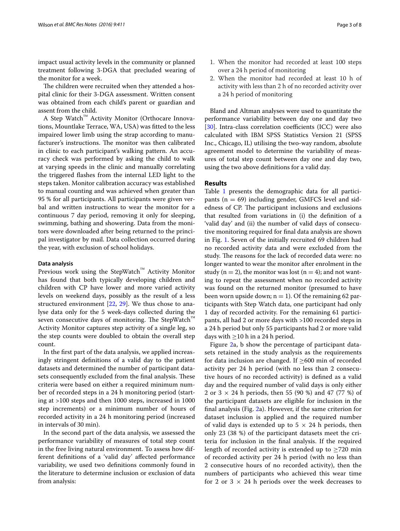impact usual activity levels in the community or planned treatment following 3-DGA that precluded wearing of the monitor for a week.

The children were recruited when they attended a hospital clinic for their 3-DGA assessment. Written consent was obtained from each child's parent or guardian and assent from the child.

A Step Watch™ Activity Monitor (Orthocare Innovations, Mountlake Terrace, WA, USA) was fitted to the less impaired lower limb using the strap according to manufacturer's instructions. The monitor was then calibrated in clinic to each participant's walking pattern. An accuracy check was performed by asking the child to walk at varying speeds in the clinic and manually correlating the triggered flashes from the internal LED light to the steps taken. Monitor calibration accuracy was established to manual counting and was achieved when greater than 95 % for all participants. All participants were given verbal and written instructions to wear the monitor for a continuous 7 day period, removing it only for sleeping, swimming, bathing and showering. Data from the monitors were downloaded after being returned to the principal investigator by mail. Data collection occurred during the year, with exclusion of school holidays.

#### **Data analysis**

Previous work using the StepWatch™ Activity Monitor has found that both typically developing children and children with CP have lower and more varied activity levels on weekend days, possibly as the result of a less structured environment [\[22,](#page-7-17) [29](#page-7-22)]. We thus chose to analyse data only for the 5 week-days collected during the seven consecutive days of monitoring. The StepWatch™ Activity Monitor captures step activity of a single leg, so the step counts were doubled to obtain the overall step count.

In the first part of the data analysis, we applied increasingly stringent definitions of a valid day to the patient datasets and determined the number of participant datasets consequently excluded from the final analysis. These criteria were based on either a required minimum number of recorded steps in a 24 h monitoring period (starting at >100 steps and then 1000 steps, increased in 1000 step increments) or a minimum number of hours of recorded activity in a 24 h monitoring period (increased in intervals of 30 min).

In the second part of the data analysis, we assessed the performance variability of measures of total step count in the free living natural environment. To assess how different definitions of a 'valid day' affected performance variability, we used two definitions commonly found in the literature to determine inclusion or exclusion of data from analysis:

- 1. When the monitor had recorded at least 100 steps over a 24 h period of monitoring
- 2. When the monitor had recorded at least 10 h of activity with less than 2 h of no recorded activity over a 24 h period of monitoring

Bland and Altman analyses were used to quantitate the performance variability between day one and day two [[30\]](#page-7-23). Intra-class correlation coefficients (ICC) were also calculated with IBM SPSS Statistics Version 21 (SPSS Inc., Chicago, IL) utilising the two-way random, absolute agreement model to determine the variability of measures of total step count between day one and day two, using the two above definitions for a valid day.

### **Results**

Table [1](#page-3-0) presents the demographic data for all participants ( $n = 69$ ) including gender, GMFCS level and sidedness of CP. The participant inclusions and exclusions that resulted from variations in (i) the definition of a 'valid day' and (ii) the number of valid days of consecutive monitoring required for final data analysis are shown in Fig. [1.](#page-4-0) Seven of the initially recruited 69 children had no recorded activity data and were excluded from the study. The reasons for the lack of recorded data were: no longer wanted to wear the monitor after enrolment in the study (n = 2), the monitor was lost (n = 4); and not wanting to repeat the assessment when no recorded activity was found on the returned monitor (presumed to have been worn upside down;  $n = 1$ ). Of the remaining 62 participants with Step Watch data, one participant had only 1 day of recorded activity. For the remaining 61 participants, all had 2 or more days with >100 recorded steps in a 24 h period but only 55 participants had 2 or more valid days with  $\geq$ 10 h in a 24 h period.

Figure [2](#page-4-1)a, b show the percentage of participant datasets retained in the study analysis as the requirements for data inclusion are changed. If  $\geq$ 600 min of recorded activity per 24 h period (with no less than 2 consecutive hours of no recorded activity) is defined as a valid day and the required number of valid days is only either 2 or  $3 \times 24$  h periods, then 55 (90 %) and 47 (77 %) of the participant datasets are eligible for inclusion in the final analysis (Fig. [2](#page-4-1)a). However, if the same criterion for dataset inclusion is applied and the required number of valid days is extended up to  $5 \times 24$  h periods, then only 23 (38 %) of the participant datasets meet the criteria for inclusion in the final analysis. If the required length of recorded activity is extended up to  $\geq$ 720 min of recorded activity per 24 h period (with no less than 2 consecutive hours of no recorded activity), then the numbers of participants who achieved this wear time for 2 or 3  $\times$  24 h periods over the week decreases to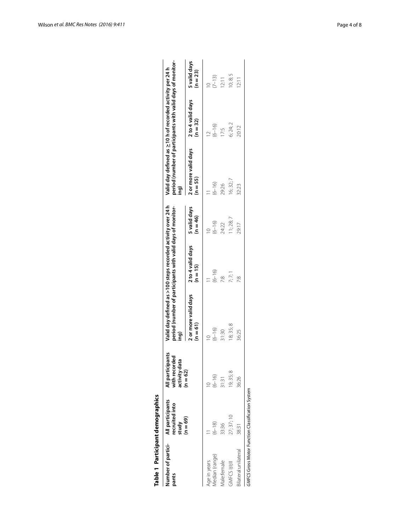| Number of partici-  | All participants        | All participants               | Valid day defined as >100 steps recorded activity over 24 h        |                                 |                            | Valid day defined as $\geq$ 10 h of recorded activity per 24 h     |                                 |                            |
|---------------------|-------------------------|--------------------------------|--------------------------------------------------------------------|---------------------------------|----------------------------|--------------------------------------------------------------------|---------------------------------|----------------------------|
| pants               | recruited into<br>study | with recorded<br>activity data | period (number of participants with valid days of monitor-<br>ing) |                                 |                            | period (number of participants with valid days of monitor-<br>ing) |                                 |                            |
|                     | $(n = 69)$              | $(n = 62)$                     | 2 or more valid days<br>$(n = 61)$                                 | 2 to 4 valid days<br>$(n = 15)$ | 5 valid days<br>$(n = 46)$ | 2 or more valid days<br>$(n = 55)$                                 | 2 to 4 valid days<br>$(n = 32)$ | 5 valid days<br>$(n = 23)$ |
| ge in years         |                         |                                |                                                                    |                                 |                            |                                                                    |                                 | $\approx$                  |
| Aedian (range)      | $(6 - 18)$              | $(6 - 16)$                     | $(6 - 16)$                                                         | $(6 - 16)$                      | $(6 - 16)$                 | $(6 - 16)$                                                         | $(6 - 16)$                      | $(7 - 13)$                 |
| Aale:female         | 33:36                   | 31:31                          | 31:30                                                              | œ.                              | 24:22                      | 29:26                                                              | 17:5                            | 12:11                      |
| <b>GMFCS HIH</b>    | 27; 37; 10              | 19; 35; 8                      | 18; 35; 8                                                          | 7:7:1                           | 1:28;7                     | 16; 32; 7                                                          | 6; 24; 2                        | 10; 8; 5                   |
| ilateral:unilateral | 38:31                   | 36:26                          | 36:25                                                              |                                 | 29:17                      | 32:23                                                              | 20:12                           | $\frac{1}{2}$              |

<span id="page-3-0"></span>

| j |  |
|---|--|
|   |  |
|   |  |
|   |  |
|   |  |
|   |  |
| ï |  |
|   |  |
| : |  |
| ı |  |
|   |  |
|   |  |
|   |  |
|   |  |
|   |  |
|   |  |
|   |  |
|   |  |
|   |  |
|   |  |
|   |  |
|   |  |
|   |  |
|   |  |
| i |  |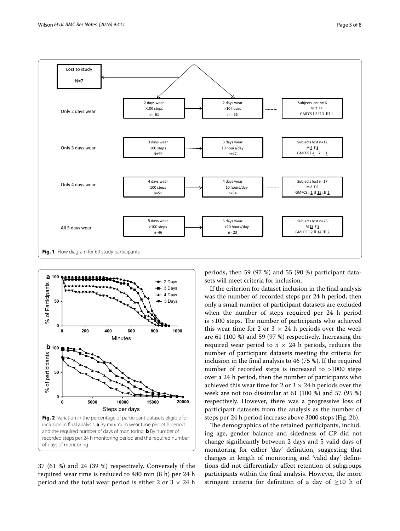

<span id="page-4-0"></span>

<span id="page-4-1"></span>37 (61 %) and 24 (39 %) respectively. Conversely if the required wear time is reduced to 480 min (8 h) per 24 h period and the total wear period is either 2 or  $3 \times 24$  h periods, then 59 (97 %) and 55 (90 %) participant datasets will meet criteria for inclusion.

If the criterion for dataset inclusion in the final analysis was the number of recorded steps per 24 h period, then only a small number of participant datasets are excluded when the number of steps required per 24 h period is >100 steps. The number of participants who achieved this wear time for 2 or  $3 \times 24$  h periods over the week are 61 (100 %) and 59 (97 %) respectively. Increasing the required wear period to  $5 \times 24$  h periods, reduces the number of participant datasets meeting the criteria for inclusion in the final analysis to 46 (75 %). If the required number of recorded steps is increased to >1000 steps over a 24 h period, then the number of participants who achieved this wear time for 2 or  $3 \times 24$  h periods over the week are not too dissimilar at 61 (100 %) and 57 (95 %) respectively. However, there was a progressive loss of participant datasets from the analysis as the number of steps per 24 h period increase above 3000 steps (Fig. [2b](#page-4-1)).

The demographics of the retained participants, including age, gender balance and sidedness of CP did not change significantly between 2 days and 5 valid days of monitoring for either 'day' definition, suggesting that changes in length of monitoring and 'valid day' definitions did not differentially affect retention of subgroups participants within the final analysis. However, the more stringent criteria for definition of a day of  $\geq$ 10 h of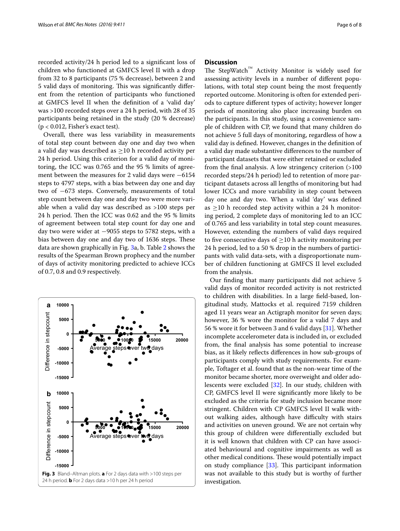recorded activity/24 h period led to a significant loss of children who functioned at GMFCS level II with a drop from 32 to 8 participants (75 % decrease), between 2 and 5 valid days of monitoring. This was significantly different from the retention of participants who functioned at GMFCS level II when the definition of a 'valid day' was >100 recorded steps over a 24 h period, with 28 of 35 participants being retained in the study (20 % decrease)  $(p < 0.012,$  Fisher's exact test).

Overall, there was less variability in measurements of total step count between day one and day two when a valid day was described as  $\geq$ 10 h recorded activity per 24 h period. Using this criterion for a valid day of monitoring, the ICC was 0.765 and the 95 % limits of agreement between the measures for 2 valid days were −6154 steps to 4797 steps, with a bias between day one and day two of −673 steps. Conversely, measurements of total step count between day one and day two were more variable when a valid day was described as >100 steps per 24 h period. Then the ICC was 0.62 and the 95 % limits of agreement between total step count for day one and day two were wider at −9055 steps to 5782 steps, with a bias between day one and day two of 1636 steps. These data are shown graphically in Fig. [3a](#page-5-0), b. Table [2](#page-6-0) shows the results of the Spearman Brown prophecy and the number of days of activity monitoring predicted to achieve ICCs of 0.7, 0.8 and 0.9 respectively.

<span id="page-5-0"></span>

## **Discussion**

The StepWatch™ Activity Monitor is widely used for assessing activity levels in a number of different populations, with total step count being the most frequently reported outcome. Monitoring is often for extended periods to capture different types of activity; however longer periods of monitoring also place increasing burden on the participants. In this study, using a convenience sample of children with CP, we found that many children do not achieve 5 full days of monitoring, regardless of how a valid day is defined. However, changes in the definition of a valid day made substantive differences to the number of participant datasets that were either retained or excluded from the final analysis. A low stringency criterion (>100 recorded steps/24 h period) led to retention of more participant datasets across all lengths of monitoring but had lower ICCs and more variability in step count between day one and day two. When a valid 'day' was defined as  $\geq$ 10 h recorded step activity within a 24 h monitoring period, 2 complete days of monitoring led to an ICC of 0.765 and less variability in total step count measures. However, extending the numbers of valid days required to five consecutive days of  $\geq$ 10 h activity monitoring per 24 h period, led to a 50 % drop in the numbers of participants with valid data-sets, with a disproportionate number of children functioning at GMFCS II level excluded from the analysis.

Our finding that many participants did not achieve 5 valid days of monitor recorded activity is not restricted to children with disabilities. In a large field-based, longitudinal study, Mattocks et al. required 7159 children aged 11 years wear an Actigraph monitor for seven days; however, 36 % wore the monitor for a valid 7 days and 56 % wore it for between 3 and 6 valid days [\[31](#page-7-24)]. Whether incomplete accelerometer data is included in, or excluded from, the final analysis has some potential to increase bias, as it likely reflects differences in how sub-groups of participants comply with study requirements. For example, Toftager et al. found that as the non-wear time of the monitor became shorter, more overweight and older adolescents were excluded [[32\]](#page-7-25). In our study, children with CP, GMFCS level II were significantly more likely to be excluded as the criteria for study inclusion became more stringent. Children with CP GMFCS level II walk without walking aides, although have difficulty with stairs and activities on uneven ground. We are not certain why this group of children were differentially excluded but it is well known that children with CP can have associated behavioural and cognitive impairments as well as other medical conditions. These would potentially impact on study compliance [[33](#page-7-26)]. This participant information was not available to this study but is worthy of further investigation.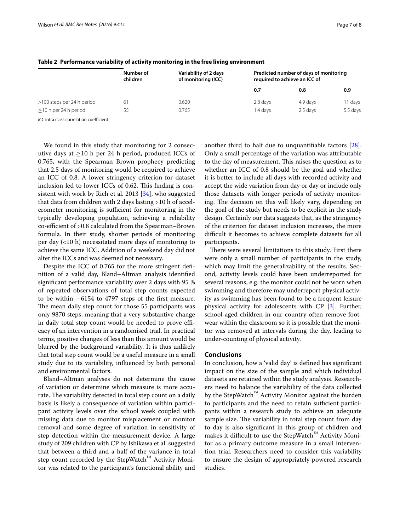|                            | Number of<br>children | Variability of 2 days<br>of monitoring (ICC) | Predicted number of days of monitoring<br>required to achieve an ICC of |          |          |
|----------------------------|-----------------------|----------------------------------------------|-------------------------------------------------------------------------|----------|----------|
|                            |                       |                                              | 0.7                                                                     | 0.8      | 0.9      |
| >100 steps per 24 h period | 61                    | 0.620                                        | 2.8 days                                                                | 4.9 days | 11 days  |
| $>$ 10 h per 24 h period   | 55                    | 0.765                                        | l .4 davs                                                               | 2.5 days | 5.5 days |

<span id="page-6-0"></span>**Table 2 Performance variability of activity monitoring in the free living environment**

*ICC* intra class correlation coefficient

We found in this study that monitoring for 2 consecutive days at  $\geq$ 10 h per 24 h period, produced ICCs of 0.765, with the Spearman Brown prophecy predicting that 2.5 days of monitoring would be required to achieve an ICC of 0.8. A lower stringency criterion for dataset inclusion led to lower ICCs of 0.62. This finding is consistent with work by Rich et al. 2013 [\[34](#page-7-27)], who suggested that data from children with 2 days lasting >10 h of accelerometer monitoring is sufficient for monitoring in the typically developing population, achieving a reliability co-efficient of >0.8 calculated from the Spearman–Brown formula. In their study, shorter periods of monitoring per day (<10 h) necessitated more days of monitoring to achieve the same ICC. Addition of a weekend day did not alter the ICCs and was deemed not necessary.

Despite the ICC of 0.765 for the more stringent definition of a valid day, Bland–Altman analysis identified significant performance variability over 2 days with 95 % of repeated observations of total step counts expected to be within −6154 to 4797 steps of the first measure. The mean daily step count for those 55 participants was only 9870 steps, meaning that a very substantive change in daily total step count would be needed to prove efficacy of an intervention in a randomised trial. In practical terms, positive changes of less than this amount would be blurred by the background variability. It is thus unlikely that total step count would be a useful measure in a small study due to its variability, influenced by both personal and environmental factors.

Bland–Altman analyses do not determine the cause of variation or determine which measure is more accurate. The variability detected in total step count on a daily basis is likely a consequence of variation within participant activity levels over the school week coupled with missing data due to monitor misplacement or monitor removal and some degree of variation in sensitivity of step detection within the measurement device. A large study of 209 children with CP by Ishikawa et al. suggested that between a third and a half of the variance in total step count recorded by the StepWatch™ Activity Monitor was related to the participant's functional ability and another third to half due to unquantifiable factors [\[28](#page-7-21)]. Only a small percentage of the variation was attributable to the day of measurement. This raises the question as to whether an ICC of 0.8 should be the goal and whether it is better to include all days with recorded activity and accept the wide variation from day or day or include only those datasets with longer periods of activity monitoring. The decision on this will likely vary, depending on the goal of the study but needs to be explicit in the study design. Certainly our data suggests that, as the stringency of the criterion for dataset inclusion increases, the more difficult it becomes to achieve complete datasets for all participants.

There were several limitations to this study. First there were only a small number of participants in the study, which may limit the generalizability of the results. Second, activity levels could have been underreported for several reasons, e.g. the monitor could not be worn when swimming and therefore may underreport physical activity as swimming has been found to be a frequent leisure physical activity for adolescents with CP [[3\]](#page-7-5). Further, school-aged children in our country often remove footwear within the classroom so it is possible that the monitor was removed at intervals during the day, leading to under-counting of physical activity.

## **Conclusions**

In conclusion, how a 'valid day' is defined has significant impact on the size of the sample and which individual datasets are retained within the study analysis. Researchers need to balance the variability of the data collected by the StepWatch™ Activity Monitor against the burden to participants and the need to retain sufficient participants within a research study to achieve an adequate sample size. The variability in total step count from day to day is also significant in this group of children and makes it difficult to use the StepWatch™ Activity Monitor as a primary outcome measure in a small intervention trial. Researchers need to consider this variability to ensure the design of appropriately powered research studies.